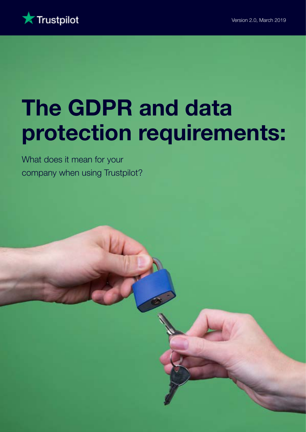

# The GDPR and data protection requirements:

What does it mean for your company when using Trustpilot?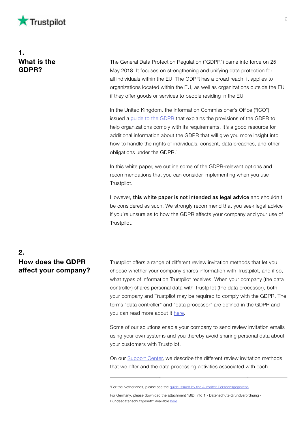

## 1. What is the GDPR?

The General Data Protection Regulation ("GDPR") came into force on 25 May 2018. It focuses on strengthening and unifying data protection for all individuals within the EU. The GDPR has a broad reach; it applies to organizations located within the EU, as well as organizations outside the EU if they offer goods or services to people residing in the EU.

In the United Kingdom, the Information Commissioner's Office ("ICO") issued a [guide to the GDPR](https://ico.org.uk/for-organisations/guide-to-data-protection/guide-to-the-general-data-protection-regulation-gdpr/) that explains the provisions of the GDPR to help organizations comply with its requirements. It's a good resource for additional information about the GDPR that will give you more insight into how to handle the rights of individuals, consent, data breaches, and other obligations under the GDPR.<sup>1</sup>

In this white paper, we outline some of the GDPR-relevant options and recommendations that you can consider implementing when you use Trustpilot.

However, this white paper is not intended as legal advice and shouldn't be considered as such. We strongly recommend that you seek legal advice if you're unsure as to how the GDPR affects your company and your use of Trustpilot.

## $2<sub>-</sub>$ How does the GDPR affect your company?

Trustpilot offers a range of different review invitation methods that let you choose whether your company shares information with Trustpilot, and if so, what types of information Trustpilot receives. When your company (the data controller) shares personal data with Trustpilot (the data processor), both your company and Trustpilot may be required to comply with the GDPR. The terms "data controller" and "data processor" are defined in the GDPR and you can read more about it [here.](https://support.trustpilot.com/hc/en-us/articles/360001141547--Is-Trustpilot-a-data-processor-or-data-controller-)

Some of our solutions enable your company to send review invitation emails using your own systems and you thereby avoid sharing personal data about your customers with Trustpilot.

On our [Support Center](https://support.trustpilot.com/hc/en-us/articles/115008452588--Overview-of-Trustpilot-s-review-invitation-methods), we describe the different review invitation methods that we offer and the data processing activities associated with each

<sup>&</sup>lt;sup>1</sup>For the Netherlands, please see the [guide issued by the Autoriteit Persoonsgegevens.](https://autoriteitpersoonsgegevens.nl/sites/default/files/atoms/files/handleidingalgemeneverordeninggegevensbescherming.pdf)

For Germany, please download the attachment "BfDI Info 1 - Datenschutz-Grundverordnung - Bundesdatenschutzgesetz" available [here.](https://www.bfdi.bund.de/DE/Datenschutz/DatenschutzGVO/Reform/ReformEUDatenschutzrechtArtikel/ReformEUDatenschutzRecht.html?nn=5217040)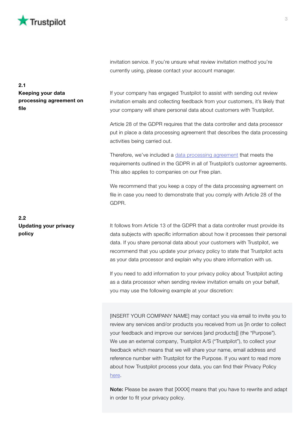

invitation service. If you're unsure what review invitation method you're currently using, please contact your account manager.

If your company has engaged Trustpilot to assist with sending out review invitation emails and collecting feedback from your customers, it's likely that your company will share personal data about customers with Trustpilot.

Article 28 of the GDPR requires that the data controller and data processor put in place a data processing agreement that describes the data processing activities being carried out.

Therefore, we've included a [data processing agreement](https://legal.trustpilot.com/data-processing-agreement) that meets the requirements outlined in the GDPR in all of Trustpilot's customer agreements. This also applies to companies on our Free plan.

We recommend that you keep a copy of the data processing agreement on file in case you need to demonstrate that you comply with Article 28 of the GDPR.

It follows from Article 13 of the GDPR that a data controller must provide its data subjects with specific information about how it processes their personal data. If you share personal data about your customers with Trustpilot, we recommend that you update your privacy policy to state that Trustpilot acts as your data processor and explain why you share information with us.

If you need to add information to your privacy policy about Trustpilot acting as a data processor when sending review invitation emails on your behalf, you may use the following example at your discretion:

[INSERT YOUR COMPANY NAME] may contact you via email to invite you to review any services and/or products you received from us [in order to collect your feedback and improve our services [and products]] (the "Purpose"). We use an external company, Trustpilot A/S ("Trustpilot"), to collect your feedback which means that we will share your name, email address and reference number with Trustpilot for the Purpose. If you want to read more about how Trustpilot process your data, you can find their Privacy Policy [here.](https://uk.legal.trustpilot.com/end-user-privacy-terms)

Note: Please be aware that [XXXX] means that you have to rewrite and adapt in order to fit your privacy policy.

2.1 Keeping your data processing agreement on file

2.2 Updating your privacy policy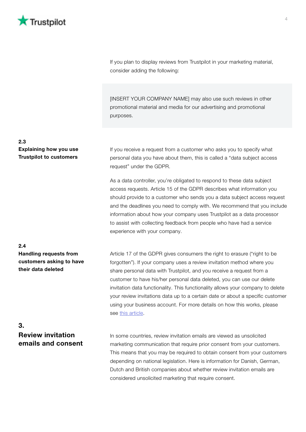

If you plan to display reviews from Trustpilot in your marketing material, consider adding the following:

[INSERT YOUR COMPANY NAME] may also use such reviews in other promotional material and media for our advertising and promotional purposes.

#### 2.3 Explaining how you use Trustpilot to customers

If you receive a request from a customer who asks you to specify what personal data you have about them, this is called a "data subject access request" under the GDPR.

As a data controller, you're obligated to respond to these data subject access requests. Article 15 of the GDPR describes what information you should provide to a customer who sends you a data subject access request and the deadlines you need to comply with. We recommend that you include information about how your company uses Trustpilot as a data processor to assist with collecting feedback from people who have had a service experience with your company.

### 2.4 Handling requests from customers asking to have their data deleted

Article 17 of the GDPR gives consumers the right to erasure ("right to be forgotten"). If your company uses a review invitation method where you share personal data with Trustpilot, and you receive a request from a customer to have his/her personal data deleted, you can use our delete invitation data functionality. This functionality allows your company to delete your review invitations data up to a certain date or about a specific customer using your business account. For more details on how this works, please see [this article.](https://support.trustpilot.com/hc/en-us/articles/360001157168-How-do-I-delete-review-invitations-data-for-companies-)

## 3. Review invitation emails and consent

In some countries, review invitation emails are viewed as unsolicited marketing communication that require prior consent from your customers. This means that you may be required to obtain consent from your customers depending on national legislation. Here is information for Danish, German, Dutch and British companies about whether review invitation emails are considered unsolicited marketing that require consent.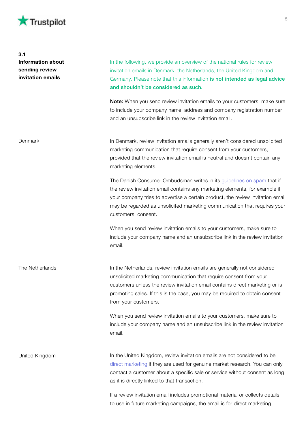

| 3.1<br><b>Information about</b><br>sending review<br>invitation emails | In the following, we provide an overview of the national rules for review<br>invitation emails in Denmark, the Netherlands, the United Kingdom and<br>Germany. Please note that this information is not intended as legal advice<br>and shouldn't be considered as such.<br>Note: When you send review invitation emails to your customers, make sure<br>to include your company name, address and company registration number<br>and an unsubscribe link in the review invitation email. |
|------------------------------------------------------------------------|-------------------------------------------------------------------------------------------------------------------------------------------------------------------------------------------------------------------------------------------------------------------------------------------------------------------------------------------------------------------------------------------------------------------------------------------------------------------------------------------|
| Denmark                                                                | In Denmark, review invitation emails generally aren't considered unsolicited<br>marketing communication that require consent from your customers,<br>provided that the review invitation email is neutral and doesn't contain any<br>marketing elements.                                                                                                                                                                                                                                  |
|                                                                        | The Danish Consumer Ombudsman writes in its guidelines on spam that if<br>the review invitation email contains any marketing elements, for example if<br>your company tries to advertise a certain product, the review invitation email<br>may be regarded as unsolicited marketing communication that requires your<br>customers' consent.                                                                                                                                               |
|                                                                        | When you send review invitation emails to your customers, make sure to<br>include your company name and an unsubscribe link in the review invitation<br>email.                                                                                                                                                                                                                                                                                                                            |
| The Netherlands                                                        | In the Netherlands, review invitation emails are generally not considered<br>unsolicited marketing communication that require consent from your<br>customers unless the review invitation email contains direct marketing or is<br>promoting sales. If this is the case, you may be required to obtain consent<br>from your customers.                                                                                                                                                    |
|                                                                        | When you send review invitation emails to your customers, make sure to<br>include your company name and an unsubscribe link in the review invitation<br>email.                                                                                                                                                                                                                                                                                                                            |
| United Kingdom                                                         | In the United Kingdom, review invitation emails are not considered to be<br>direct marketing if they are used for genuine market research. You can only<br>contact a customer about a specific sale or service without consent as long<br>as it is directly linked to that transaction.                                                                                                                                                                                                   |
|                                                                        | If a review invitation email includes promotional material or collects details                                                                                                                                                                                                                                                                                                                                                                                                            |

to use in future marketing campaigns, the email is for direct marketing